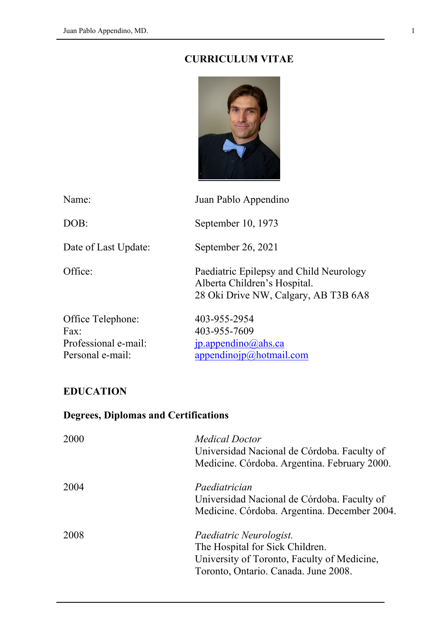#### **CURRICULUM VITAE**



Name: Juan Pablo Appendino DOB: September 10, 1973 Date of Last Update: September 26, 2021 Office: Paediatric Epilepsy and Child Neurology Alberta Children's Hospital. 28 Oki Drive NW, Calgary, AB T3B 6A8 Office Telephone: 403-955-2954 Fax: 403-955-7609 Professional e-mail: [jp.appendino@ahs.ca](mailto:jp.appendino@ahs.ca) Personal e-mail: [appendinojp@hotmail.com](mailto:appendinojp@hotmail.com)

#### **EDUCATION**

### **Degrees, Diplomas and Certifications**

| 2000 | <b>Medical Doctor</b><br>Universidad Nacional de Córdoba. Faculty of<br>Medicine. Córdoba. Argentina. February 2000.                              |
|------|---------------------------------------------------------------------------------------------------------------------------------------------------|
| 2004 | Paediatrician<br>Universidad Nacional de Córdoba. Faculty of<br>Medicine. Córdoba. Argentina. December 2004.                                      |
| 2008 | Paediatric Neurologist.<br>The Hospital for Sick Children.<br>University of Toronto, Faculty of Medicine,<br>Toronto, Ontario. Canada. June 2008. |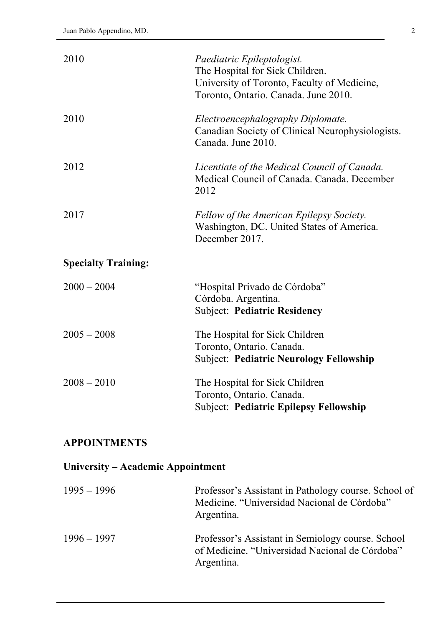| 2010                              | Paediatric Epileptologist.<br>The Hospital for Sick Children.<br>University of Toronto, Faculty of Medicine,<br>Toronto, Ontario. Canada. June 2010. |  |
|-----------------------------------|------------------------------------------------------------------------------------------------------------------------------------------------------|--|
| 2010                              | Electroencephalography Diplomate.<br>Canadian Society of Clinical Neurophysiologists.<br>Canada. June 2010.                                          |  |
| 2012                              | Licentiate of the Medical Council of Canada.<br>Medical Council of Canada. Canada. December<br>2012                                                  |  |
| 2017                              | Fellow of the American Epilepsy Society.<br>Washington, DC. United States of America.<br>December 2017.                                              |  |
| <b>Specialty Training:</b>        |                                                                                                                                                      |  |
| $2000 - 2004$                     | "Hospital Privado de Córdoba"<br>Córdoba. Argentina.<br><b>Subject: Pediatric Residency</b>                                                          |  |
| $2005 - 2008$                     | The Hospital for Sick Children<br>Toronto, Ontario. Canada.<br><b>Subject: Pediatric Neurology Fellowship</b>                                        |  |
| $2008 - 2010$                     | The Hospital for Sick Children<br>Toronto, Ontario. Canada.<br><b>Subject: Pediatric Epilepsy Fellowship</b>                                         |  |
| <b>APPOINTMENTS</b>               |                                                                                                                                                      |  |
| University – Academic Appointment |                                                                                                                                                      |  |

| $1995 - 1996$ | Professor's Assistant in Pathology course. School of<br>Medicine. "Universidad Nacional de Córdoba"<br>Argentina. |
|---------------|-------------------------------------------------------------------------------------------------------------------|
| $1996 - 1997$ | Professor's Assistant in Semiology course. School<br>of Medicine. "Universidad Nacional de Córdoba"<br>Argentina. |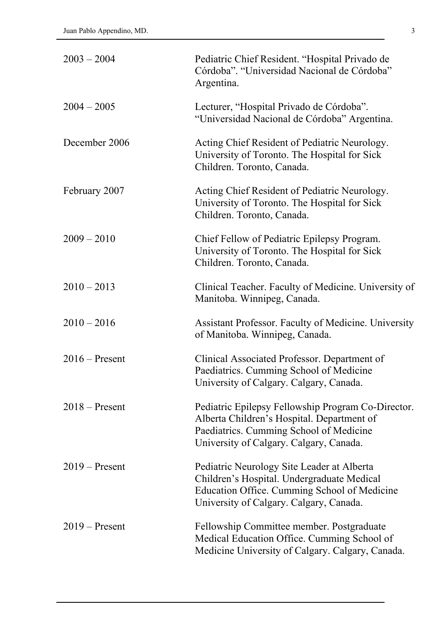| $2003 - 2004$    | Pediatric Chief Resident. "Hospital Privado de<br>Córdoba". "Universidad Nacional de Córdoba"<br>Argentina.                                                                            |
|------------------|----------------------------------------------------------------------------------------------------------------------------------------------------------------------------------------|
| $2004 - 2005$    | Lecturer, "Hospital Privado de Córdoba".<br>"Universidad Nacional de Córdoba" Argentina.                                                                                               |
| December 2006    | Acting Chief Resident of Pediatric Neurology.<br>University of Toronto. The Hospital for Sick<br>Children. Toronto, Canada.                                                            |
| February 2007    | Acting Chief Resident of Pediatric Neurology.<br>University of Toronto. The Hospital for Sick<br>Children. Toronto, Canada.                                                            |
| $2009 - 2010$    | Chief Fellow of Pediatric Epilepsy Program.<br>University of Toronto. The Hospital for Sick<br>Children. Toronto, Canada.                                                              |
| $2010 - 2013$    | Clinical Teacher. Faculty of Medicine. University of<br>Manitoba. Winnipeg, Canada.                                                                                                    |
| $2010 - 2016$    | Assistant Professor. Faculty of Medicine. University<br>of Manitoba. Winnipeg, Canada.                                                                                                 |
| $2016$ – Present | Clinical Associated Professor. Department of<br>Paediatrics. Cumming School of Medicine<br>University of Calgary. Calgary, Canada                                                      |
| $2018 -$ Present | Pediatric Epilepsy Fellowship Program Co-Director.<br>Alberta Children's Hospital. Department of<br>Paediatrics. Cumming School of Medicine<br>University of Calgary. Calgary, Canada. |
| $2019$ – Present | Pediatric Neurology Site Leader at Alberta<br>Children's Hospital. Undergraduate Medical<br>Education Office. Cumming School of Medicine<br>University of Calgary. Calgary, Canada.    |
| $2019$ – Present | Fellowship Committee member. Postgraduate<br>Medical Education Office. Cumming School of<br>Medicine University of Calgary. Calgary, Canada.                                           |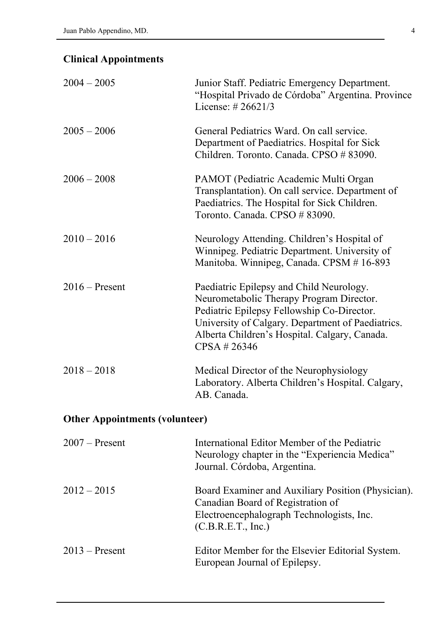# **Clinical Appointments**

| $2004 - 2005$    | Junior Staff. Pediatric Emergency Department.<br>"Hospital Privado de Córdoba" Argentina. Province<br>License: #26621/3                                                                                                                                 |
|------------------|---------------------------------------------------------------------------------------------------------------------------------------------------------------------------------------------------------------------------------------------------------|
| $2005 - 2006$    | General Pediatrics Ward. On call service.<br>Department of Paediatrics. Hospital for Sick<br>Children. Toronto. Canada. CPSO # 83090.                                                                                                                   |
| $2006 - 2008$    | PAMOT (Pediatric Academic Multi Organ<br>Transplantation). On call service. Department of<br>Paediatrics. The Hospital for Sick Children.<br>Toronto. Canada. CPSO # 83090.                                                                             |
| $2010 - 2016$    | Neurology Attending. Children's Hospital of<br>Winnipeg. Pediatric Department. University of<br>Manitoba. Winnipeg, Canada. CPSM #16-893                                                                                                                |
| $2016$ – Present | Paediatric Epilepsy and Child Neurology.<br>Neurometabolic Therapy Program Director.<br>Pediatric Epilepsy Fellowship Co-Director.<br>University of Calgary. Department of Paediatrics.<br>Alberta Children's Hospital. Calgary, Canada.<br>CPSA #26346 |
| $2018 - 2018$    | Medical Director of the Neurophysiology<br>Laboratory. Alberta Children's Hospital. Calgary,<br>AB. Canada.                                                                                                                                             |

# **Other Appointments (volunteer)**

| $2007$ – Present | International Editor Member of the Pediatric<br>Neurology chapter in the "Experiencia Medica"<br>Journal. Córdoba, Argentina.                              |
|------------------|------------------------------------------------------------------------------------------------------------------------------------------------------------|
| $2012 - 2015$    | Board Examiner and Auxiliary Position (Physician).<br>Canadian Board of Registration of<br>Electroencephalograph Technologists, Inc.<br>(C.B.R.E.T., Inc.) |
| $2013$ – Present | Editor Member for the Elsevier Editorial System.<br>European Journal of Epilepsy.                                                                          |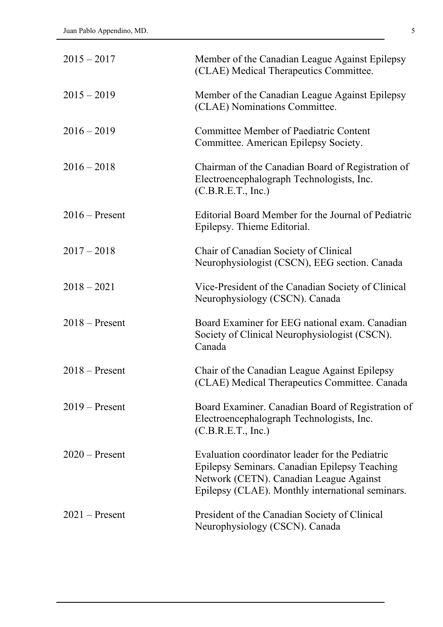| $2015 - 2017$    | Member of the Canadian League Against Epilepsy<br>(CLAE) Medical Therapeutics Committee.                                                                                                        |
|------------------|-------------------------------------------------------------------------------------------------------------------------------------------------------------------------------------------------|
| $2015 - 2019$    | Member of the Canadian League Against Epilepsy<br>(CLAE) Nominations Committee.                                                                                                                 |
| $2016 - 2019$    | <b>Committee Member of Paediatric Content</b><br>Committee. American Epilepsy Society.                                                                                                          |
| $2016 - 2018$    | Chairman of the Canadian Board of Registration of<br>Electroencephalograph Technologists, Inc.<br>(C.B.R.E.T., Inc.)                                                                            |
| $2016$ – Present | Editorial Board Member for the Journal of Pediatric<br>Epilepsy. Thieme Editorial.                                                                                                              |
| $2017 - 2018$    | Chair of Canadian Society of Clinical<br>Neurophysiologist (CSCN), EEG section. Canada                                                                                                          |
| $2018 - 2021$    | Vice-President of the Canadian Society of Clinical<br>Neurophysiology (CSCN). Canada                                                                                                            |
| $2018 -$ Present | Board Examiner for EEG national exam. Canadian<br>Society of Clinical Neurophysiologist (CSCN).<br>Canada                                                                                       |
| $2018 -$ Present | Chair of the Canadian League Against Epilepsy<br>(CLAE) Medical Therapeutics Committee. Canada                                                                                                  |
| $2019$ – Present | Board Examiner. Canadian Board of Registration of<br>Electroencephalograph Technologists, Inc.<br>(C.B.R.E.T., Inc.)                                                                            |
| $2020$ – Present | Evaluation coordinator leader for the Pediatric<br>Epilepsy Seminars. Canadian Epilepsy Teaching<br>Network (CETN). Canadian League Against<br>Epilepsy (CLAE). Monthly international seminars. |
| $2021$ – Present | President of the Canadian Society of Clinical<br>Neurophysiology (CSCN). Canada                                                                                                                 |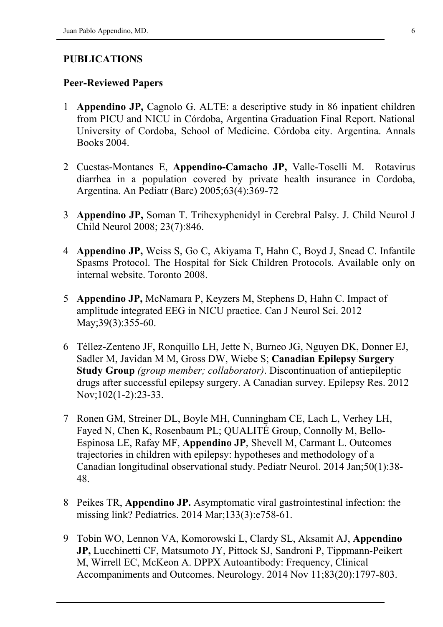#### **PUBLICATIONS**

#### **Peer-Reviewed Papers**

- 1 **Appendino JP,** Cagnolo G. ALTE: a descriptive study in 86 inpatient children from PICU and NICU in Córdoba, Argentina Graduation Final Report. National University of Cordoba, School of Medicine. Córdoba city. Argentina. Annals Books 2004.
- 2 [Cuestas-Montanes E,](http://www.ncbi.nlm.nih.gov/entrez/query.fcgi?db=pubmed&cmd=Search&itool=pubmed_AbstractPlus&term=%22Cuestas+Montanes+E%22%5BAuthor%5D) **[Appendino-Camacho JP](http://www.ncbi.nlm.nih.gov/entrez/query.fcgi?db=pubmed&cmd=Search&itool=pubmed_AbstractPlus&term=%22Appendino+Camacho+J%22%5BAuthor%5D),** [Valle-Toselli M.](http://www.ncbi.nlm.nih.gov/entrez/query.fcgi?db=pubmed&cmd=Search&itool=pubmed_AbstractPlus&term=%22Valle+Toselli+M%22%5BAuthor%5D) Rotavirus diarrhea in a population covered by private health insurance in Cordoba, Argentina. An Pediatr (Barc) 2005;63(4):369-72
- 3 **Appendino JP,** Soman T. Trihexyphenidyl in Cerebral Palsy. J. Child Neurol J Child Neurol 2008; 23(7):846.
- 4 **Appendino JP,** Weiss S, Go C, Akiyama T, Hahn C, Boyd J, Snead C. Infantile Spasms Protocol. The Hospital for Sick Children Protocols. Available only on internal website. Toronto 2008.
- 5 **Appendino JP,** McNamara P, Keyzers M, Stephens D, Hahn C. Impact of amplitude integrated EEG in NICU practice. Can J Neurol Sci. 2012 May: 39(3): 355-60.
- 6 Téllez-Zenteno JF, Ronquillo LH, Jette N, Burneo JG, Nguyen DK, Donner EJ, Sadler M, Javidan M M, Gross DW, Wiebe S; **Canadian Epilepsy Surgery Study Group** *(group member; collaborator)*. Discontinuation of antiepileptic drugs after successful epilepsy surgery. A Canadian survey. Epilepsy Res. 2012 Nov;102(1-2):23-33.
- 7 Ronen GM, Streiner DL, Boyle MH, Cunningham CE, Lach L, Verhey LH, Fayed N, Chen K, Rosenbaum PL; QUALITÉ Group, Connolly M, Bello-Espinosa LE, Rafay MF, **Appendino JP**, Shevell M, Carmant L. Outcomes trajectories in children with epilepsy: hypotheses and methodology of a Canadian longitudinal observational study. Pediatr Neurol. 2014 Jan;50(1):38- 48.
- 8 Peikes TR, **Appendino JP.** Asymptomatic viral gastrointestinal infection: the missing link? Pediatrics. 2014 Mar;133(3):e758-61.
- 9 Tobin WO, Lennon VA, Komorowski L, Clardy SL, Aksamit AJ, **Appendino JP,** Lucchinetti CF, Matsumoto JY, Pittock SJ, Sandroni P, Tippmann-Peikert M, Wirrell EC, McKeon A. DPPX Autoantibody: Frequency, Clinical Accompaniments and Outcomes. Neurology. 2014 Nov 11;83(20):1797-803.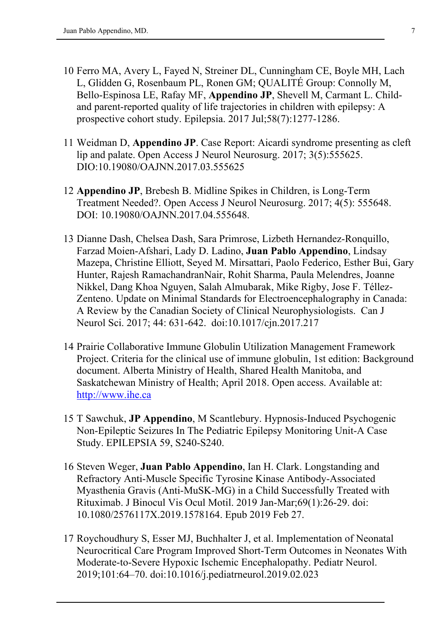- 10 Ferro MA, Avery L, Fayed N, Streiner DL, Cunningham CE, Boyle MH, Lach L, Glidden G, Rosenbaum PL, Ronen GM; QUALITÉ Group: Connolly M, Bello-Espinosa LE, Rafay MF, **Appendino JP**, Shevell M, Carmant L. Childand parent-reported quality of life trajectories in children with epilepsy: A prospective cohort study. Epilepsia. 2017 Jul;58(7):1277-1286.
- 11 Weidman D, **Appendino JP**. Case Report: Aicardi syndrome presenting as cleft lip and palate. Open Access J Neurol Neurosurg. 2017; 3(5):555625. DIO:10.19080/OAJNN.2017.03.555625
- 12 **Appendino JP**, Brebesh B. Midline Spikes in Children, is Long-Term Treatment Needed?. Open Access J Neurol Neurosurg. 2017; 4(5): 555648. DOI: 10.19080/OAJNN.2017.04.555648.
- 13 Dianne Dash, Chelsea Dash, Sara Primrose, Lizbeth Hernandez-Ronquillo, Farzad Moien-Afshari, Lady D. Ladino, **Juan Pablo Appendino**, Lindsay Mazepa, Christine Elliott, Seyed M. Mirsattari, Paolo Federico, Esther Bui, Gary Hunter, Rajesh RamachandranNair, Rohit Sharma, Paula Melendres, Joanne Nikkel, Dang Khoa Nguyen, Salah Almubarak, Mike Rigby, Jose F. Téllez-Zenteno. Update on Minimal Standards for Electroencephalography in Canada: A Review by the Canadian Society of Clinical Neurophysiologists. Can J Neurol Sci. 2017; 44: 631-642. doi:10.1017/cjn.2017.217
- 14 Prairie Collaborative Immune Globulin Utilization Management Framework Project. Criteria for the clinical use of immune globulin, 1st edition: Background document. Alberta Ministry of Health, Shared Health Manitoba, and Saskatchewan Ministry of Health; April 2018. Open access. Available at: [http://www.ihe.ca](http://www.ihe.ca/)
- 15 T Sawchuk, **JP Appendino**, M Scantlebury. Hypnosis-Induced Psychogenic Non-Epileptic Seizures In The Pediatric Epilepsy Monitoring Unit-A Case Study. EPILEPSIA 59, S240-S240.
- 16 Steven Weger, **Juan Pablo Appendino**, Ian H. Clark. Longstanding and Refractory Anti-Muscle Specific Tyrosine Kinase Antibody-Associated Myasthenia Gravis (Anti-MuSK-MG) in a Child Successfully Treated with Rituximab. J Binocul Vis Ocul Motil. 2019 Jan-Mar;69(1):26-29. doi: 10.1080/2576117X.2019.1578164. Epub 2019 Feb 27.
- 17 Roychoudhury S, Esser MJ, Buchhalter J, et al. Implementation of Neonatal Neurocritical Care Program Improved Short-Term Outcomes in Neonates With Moderate-to-Severe Hypoxic Ischemic Encephalopathy. Pediatr Neurol. 2019;101:64–70. doi:10.1016/j.pediatrneurol.2019.02.023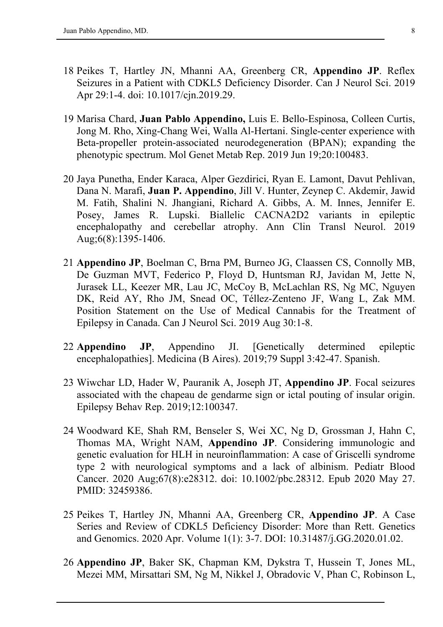- 18 Peikes T, Hartley JN, Mhanni AA, Greenberg CR, **Appendino JP**. Reflex Seizures in a Patient with CDKL5 Deficiency Disorder. Can J Neurol Sci. 2019 Apr 29:1-4. doi: 10.1017/cjn.2019.29.
- 19 Marisa Chard, **Juan Pablo Appendino,** Luis E. Bello-Espinosa, Colleen Curtis, Jong M. Rho, Xing-Chang Wei, Walla Al-Hertani. Single-center experience with Beta-propeller protein-associated neurodegeneration (BPAN); expanding the phenotypic spectrum. Mol Genet Metab Rep. 2019 Jun 19;20:100483.
- 20 Jaya Punetha, Ender Karaca, Alper Gezdirici, Ryan E. Lamont, Davut Pehlivan, Dana N. Marafi, **Juan P. Appendino**, Jill V. Hunter, Zeynep C. Akdemir, Jawid M. Fatih, Shalini N. Jhangiani, Richard A. Gibbs, A. M. Innes, Jennifer E. Posey, James R. Lupski. Biallelic CACNA2D2 variants in epileptic encephalopathy and cerebellar atrophy. Ann Clin Transl Neurol. 2019 Aug;6(8):1395-1406.
- 21 **Appendino JP**, Boelman C, Brna PM, Burneo JG, Claassen CS, Connolly MB, De Guzman MVT, Federico P, Floyd D, Huntsman RJ, Javidan M, Jette N, Jurasek LL, Keezer MR, Lau JC, McCoy B, McLachlan RS, Ng MC, Nguyen DK, Reid AY, Rho JM, Snead OC, Téllez-Zenteno JF, Wang L, Zak MM. Position Statement on the Use of Medical Cannabis for the Treatment of Epilepsy in Canada. Can J Neurol Sci. 2019 Aug 30:1-8.
- 22 **Appendino JP**, Appendino JI. [Genetically determined epileptic encephalopathies]. Medicina (B Aires). 2019;79 Suppl 3:42-47. Spanish.
- 23 Wiwchar LD, Hader W, Pauranik A, Joseph JT, **Appendino JP**. Focal seizures associated with the chapeau de gendarme sign or ictal pouting of insular origin. Epilepsy Behav Rep. 2019;12:100347.
- 24 Woodward KE, Shah RM, Benseler S, Wei XC, Ng D, Grossman J, Hahn C, Thomas MA, Wright NAM, **Appendino JP**. Considering immunologic and genetic evaluation for HLH in neuroinflammation: A case of Griscelli syndrome type 2 with neurological symptoms and a lack of albinism. Pediatr Blood Cancer. 2020 Aug;67(8):e28312. doi: 10.1002/pbc.28312. Epub 2020 May 27. PMID: 32459386.
- 25 Peikes T, Hartley JN, Mhanni AA, Greenberg CR, **Appendino JP**. A Case Series and Review of CDKL5 Deficiency Disorder: More than Rett. Genetics and Genomics. 2020 Apr. Volume 1(1): 3-7. DOI: 10.31487/j.GG.2020.01.02.
- 26 **Appendino JP**, Baker SK, Chapman KM, Dykstra T, Hussein T, Jones ML, Mezei MM, Mirsattari SM, Ng M, Nikkel J, Obradovic V, Phan C, Robinson L,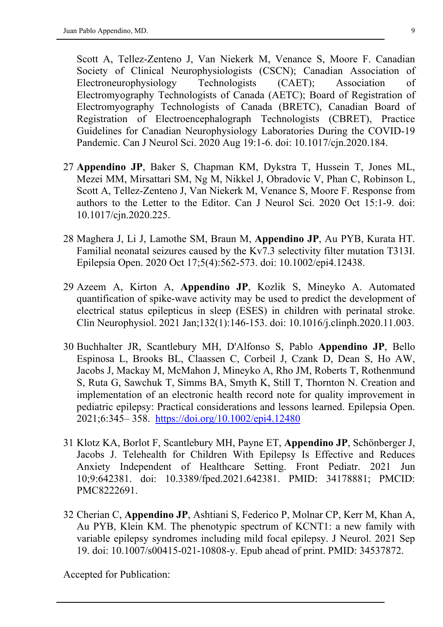Scott A, Tellez-Zenteno J, Van Niekerk M, Venance S, Moore F. Canadian Society of Clinical Neurophysiologists (CSCN); Canadian Association of Electroneurophysiology Technologists (CAET); Association of Electromyography Technologists of Canada (AETC); Board of Registration of Electromyography Technologists of Canada (BRETC), Canadian Board of Registration of Electroencephalograph Technologists (CBRET), Practice Guidelines for Canadian Neurophysiology Laboratories During the COVID-19 Pandemic. Can J Neurol Sci. 2020 Aug 19:1-6. doi: 10.1017/cjn.2020.184.

- 27 **Appendino JP**, Baker S, Chapman KM, Dykstra T, Hussein T, Jones ML, Mezei MM, Mirsattari SM, Ng M, Nikkel J, Obradovic V, Phan C, Robinson L, Scott A, Tellez-Zenteno J, Van Niekerk M, Venance S, Moore F. Response from authors to the Letter to the Editor. Can J Neurol Sci. 2020 Oct 15:1-9. doi: 10.1017/cjn.2020.225.
- 28 Maghera J, Li J, Lamothe SM, Braun M, **Appendino JP**, Au PYB, Kurata HT. Familial neonatal seizures caused by the Kv7.3 selectivity filter mutation T313I. Epilepsia Open. 2020 Oct 17;5(4):562-573. doi: 10.1002/epi4.12438.
- 29 Azeem A, Kirton A, **Appendino JP**, Kozlik S, Mineyko A. Automated quantification of spike-wave activity may be used to predict the development of electrical status epilepticus in sleep (ESES) in children with perinatal stroke. Clin Neurophysiol. 2021 Jan;132(1):146-153. doi: 10.1016/j.clinph.2020.11.003.
- 30 Buchhalter JR, Scantlebury MH, D'Alfonso S, Pablo **Appendino JP**, Bello Espinosa L, Brooks BL, Claassen C, Corbeil J, Czank D, Dean S, Ho AW, Jacobs J, Mackay M, McMahon J, Mineyko A, Rho JM, Roberts T, Rothenmund S, Ruta G, Sawchuk T, Simms BA, Smyth K, Still T, Thornton N. Creation and implementation of an electronic health record note for quality improvement in pediatric epilepsy: Practical considerations and lessons learned. Epilepsia Open. 2021;6:345– 358. <https://doi.org/10.1002/epi4.12480>
- 31 Klotz KA, Borlot F, Scantlebury MH, Payne ET, **Appendino JP**, Schönberger J, Jacobs J. Telehealth for Children With Epilepsy Is Effective and Reduces Anxiety Independent of Healthcare Setting. Front Pediatr. 2021 Jun 10;9:642381. doi: 10.3389/fped.2021.642381. PMID: 34178881; PMCID: PMC8222691.
- 32 Cherian C, **Appendino JP**, Ashtiani S, Federico P, Molnar CP, Kerr M, Khan A, Au PYB, Klein KM. The phenotypic spectrum of KCNT1: a new family with variable epilepsy syndromes including mild focal epilepsy. J Neurol. 2021 Sep 19. doi: 10.1007/s00415-021-10808-y. Epub ahead of print. PMID: 34537872.

Accepted for Publication: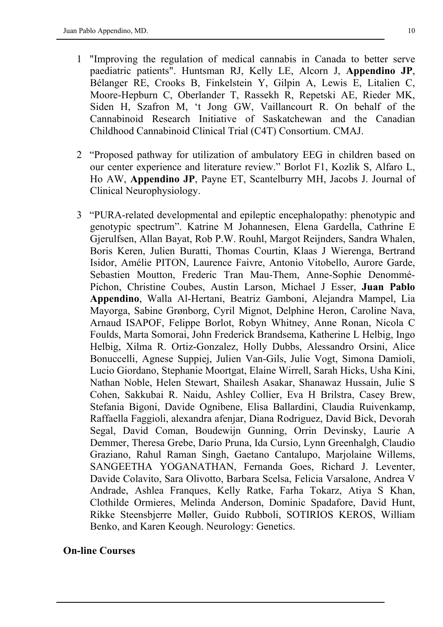- 1 "Improving the regulation of medical cannabis in Canada to better serve paediatric patients". Huntsman RJ, Kelly LE, Alcorn J, **Appendino JP**, Bélanger RE, Crooks B, Finkelstein Y, Gilpin A, Lewis E, Litalien C, Moore-Hepburn C, Oberlander T, Rassekh R, Repetski AE, Rieder MK, Siden H, Szafron M, 't Jong GW, Vaillancourt R. On behalf of the Cannabinoid Research Initiative of Saskatchewan and the Canadian Childhood Cannabinoid Clinical Trial (C4T) Consortium. CMAJ.
- 2 "Proposed pathway for utilization of ambulatory EEG in children based on our center experience and literature review." Borlot F1, Kozlik S, Alfaro L, Ho AW, **Appendino JP**, Payne ET, Scantelburry MH, Jacobs J. Journal of Clinical Neurophysiology.
- 3 "PURA-related developmental and epileptic encephalopathy: phenotypic and genotypic spectrum". Katrine M Johannesen, Elena Gardella, Cathrine E Gjerulfsen, Allan Bayat, Rob P.W. Rouhl, Margot Reijnders, Sandra Whalen, Boris Keren, Julien Buratti, Thomas Courtin, Klaas J Wierenga, Bertrand Isidor, Amélie PITON, Laurence Faivre, Antonio Vitobello, Aurore Garde, Sebastien Moutton, Frederic Tran Mau-Them, Anne-Sophie Denommé-Pichon, Christine Coubes, Austin Larson, Michael J Esser, **Juan Pablo Appendino**, Walla Al-Hertani, Beatriz Gamboni, Alejandra Mampel, Lia Mayorga, Sabine Grønborg, Cyril Mignot, Delphine Heron, Caroline Nava, Arnaud ISAPOF, Felippe Borlot, Robyn Whitney, Anne Ronan, Nicola C Foulds, Marta Somorai, John Frederick Brandsema, Katherine L Helbig, Ingo Helbig, Xilma R. Ortiz-Gonzalez, Holly Dubbs, Alessandro Orsini, Alice Bonuccelli, Agnese Suppiej, Julien Van-Gils, Julie Vogt, Simona Damioli, Lucio Giordano, Stephanie Moortgat, Elaine Wirrell, Sarah Hicks, Usha Kini, Nathan Noble, Helen Stewart, Shailesh Asakar, Shanawaz Hussain, Julie S Cohen, Sakkubai R. Naidu, Ashley Collier, Eva H Brilstra, Casey Brew, Stefania Bigoni, Davide Ognibene, Elisa Ballardini, Claudia Ruivenkamp, Raffaella Faggioli, alexandra afenjar, Diana Rodriguez, David Bick, Devorah Segal, David Coman, Boudewijn Gunning, Orrin Devinsky, Laurie A Demmer, Theresa Grebe, Dario Pruna, Ida Cursio, Lynn Greenhalgh, Claudio Graziano, Rahul Raman Singh, Gaetano Cantalupo, Marjolaine Willems, SANGEETHA YOGANATHAN, Fernanda Goes, Richard J. Leventer, Davide Colavito, Sara Olivotto, Barbara Scelsa, Felicia Varsalone, Andrea V Andrade, Ashlea Franques, Kelly Ratke, Farha Tokarz, Atiya S Khan, Clothilde Ormieres, Melinda Anderson, Dominic Spadafore, David Hunt, Rikke Steensbjerre Møller, Guido Rubboli, SOTIRIOS KEROS, William Benko, and Karen Keough. Neurology: Genetics.

#### **On-line Courses**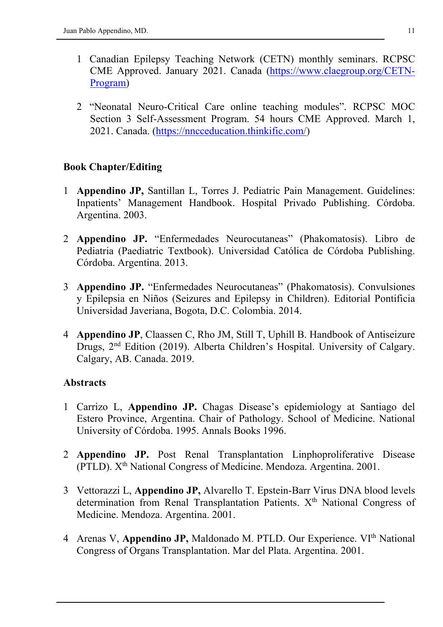- 1 Canadian Epilepsy Teaching Network (CETN) monthly seminars. RCPSC CME Approved. January 2021. Canada [\(https://www.claegroup.org/CETN-](https://www.claegroup.org/CETN-Program)[Program\)](https://www.claegroup.org/CETN-Program)
- 2 "Neonatal Neuro-Critical Care online teaching modules". RCPSC MOC Section 3 Self-Assessment Program. 54 hours CME Approved. March 1, 2021. Canada. [\(https://nncceducation.thinkific.com/\)](https://nncceducation.thinkific.com/)

### **Book Chapter/Editing**

- 1 **Appendino JP,** Santillan L, Torres J. Pediatric Pain Management. Guidelines: Inpatients' Management Handbook. Hospital Privado Publishing. Córdoba. Argentina. 2003.
- 2 **Appendino JP.** "Enfermedades Neurocutaneas" (Phakomatosis). Libro de Pediatria (Paediatric Textbook). Universidad Católica de Córdoba Publishing. Córdoba. Argentina. 2013.
- 3 **Appendino JP.** "Enfermedades Neurocutaneas" (Phakomatosis). Convulsiones y Epilepsia en Niños (Seizures and Epilepsy in Children). Editorial Pontificia Universidad Javeriana, Bogota, D.C. Colombia. 2014.
- 4 **Appendino JP**, Claassen C, Rho JM, Still T, Uphill B. Handbook of Antiseizure Drugs, 2nd Edition (2019). Alberta Children's Hospital. University of Calgary. Calgary, AB. Canada. 2019.

#### **Abstracts**

- 1 Carrizo L, **Appendino JP.** Chagas Disease's epidemiology at Santiago del Estero Province, Argentina. Chair of Pathology. School of Medicine. National University of Córdoba. 1995. Annals Books 1996.
- 2 **Appendino JP.** Post Renal Transplantation Linphoproliferative Disease (PTLD). Xth National Congress of Medicine. Mendoza. Argentina. 2001.
- 3 Vettorazzi L, **Appendino JP,** Alvarello T. Epstein-Barr Virus DNA blood levels determination from Renal Transplantation Patients. X<sup>th</sup> National Congress of Medicine. Mendoza. Argentina. 2001.
- 4 Arenas V, Appendino JP, Maldonado M. PTLD. Our Experience. VI<sup>th</sup> National Congress of Organs Transplantation. Mar del Plata. Argentina. 2001.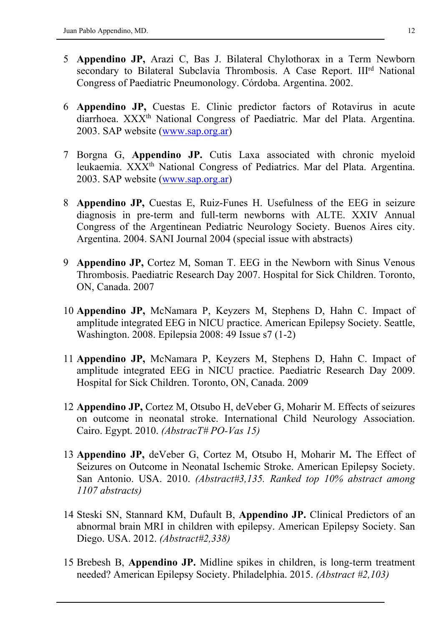- 5 **Appendino JP,** Arazi C, Bas J. Bilateral Chylothorax in a Term Newborn secondary to Bilateral Subclavia Thrombosis. A Case Report. III<sup>rd</sup> National Congress of Paediatric Pneumonology. Córdoba. Argentina. 2002.
- 6 **Appendino JP,** Cuestas E. Clinic predictor factors of Rotavirus in acute diarrhoea. XXX<sup>th</sup> National Congress of Paediatric. Mar del Plata. Argentina. 2003. SAP website [\(www.sap.org.ar\)](http://www.sap.org.ar/)
- 7 Borgna G, **Appendino JP.** Cutis Laxa associated with chronic myeloid leukaemia. XXX<sup>th</sup> National Congress of Pediatrics. Mar del Plata. Argentina. 2003. SAP website [\(www.sap.org.ar\)](http://www.sap.org.ar/)
- 8 **Appendino JP,** Cuestas E, Ruiz-Funes H. Usefulness of the EEG in seizure diagnosis in pre-term and full-term newborns with ALTE. XXIV Annual Congress of the Argentinean Pediatric Neurology Society. Buenos Aires city. Argentina. 2004. SANI Journal 2004 (special issue with abstracts)
- 9 **Appendino JP,** Cortez M, Soman T. EEG in the Newborn with Sinus Venous Thrombosis. Paediatric Research Day 2007. Hospital for Sick Children. Toronto, ON, Canada. 2007
- 10 **Appendino JP,** McNamara P, Keyzers M, Stephens D, Hahn C. Impact of amplitude integrated EEG in NICU practice. American Epilepsy Society. Seattle, Washington. 2008. Epilepsia 2008: 49 Issue s7 (1-2)
- 11 **Appendino JP,** McNamara P, Keyzers M, Stephens D, Hahn C. Impact of amplitude integrated EEG in NICU practice. Paediatric Research Day 2009. Hospital for Sick Children. Toronto, ON, Canada. 2009
- 12 **Appendino JP,** Cortez M, Otsubo H, deVeber G, Moharir M. Effects of seizures on outcome in neonatal stroke. International Child Neurology Association. Cairo. Egypt. 2010. *(AbstracT# PO-Vas 15)*
- 13 **Appendino JP,** deVeber G, Cortez M, Otsubo H, Moharir M**.** The Effect of Seizures on Outcome in Neonatal Ischemic Stroke. American Epilepsy Society. San Antonio. USA. 2010. *(Abstract#3,135. Ranked top 10% abstract among 1107 abstracts)*
- 14 Steski SN, Stannard KM, Dufault B, **Appendino JP.** Clinical Predictors of an abnormal brain MRI in children with epilepsy. American Epilepsy Society. San Diego. USA. 2012. *(Abstract#2,338)*
- 15 Brebesh B, **Appendino JP.** Midline spikes in children, is long-term treatment needed? American Epilepsy Society. Philadelphia. 2015. *(Abstract #2,103)*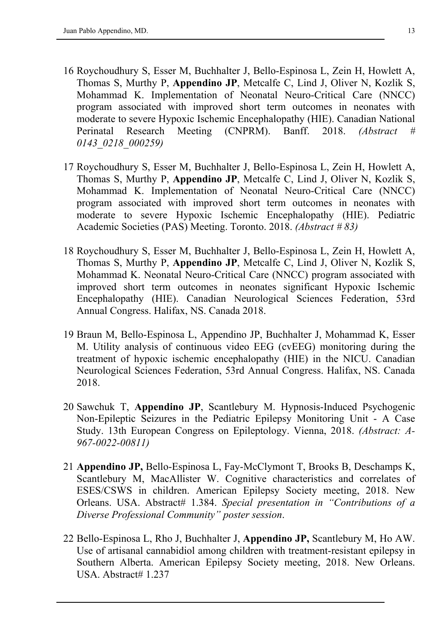- 16 Roychoudhury S, Esser M, Buchhalter J, Bello-Espinosa L, Zein H, Howlett A, Thomas S, Murthy P, **Appendino JP**, Metcalfe C, Lind J, Oliver N, Kozlik S, Mohammad K. Implementation of Neonatal Neuro-Critical Care (NNCC) program associated with improved short term outcomes in neonates with moderate to severe Hypoxic Ischemic Encephalopathy (HIE). Canadian National Perinatal Research Meeting (CNPRM). Banff. 2018. *(Abstract # 0143\_0218\_000259)*
- 17 Roychoudhury S, Esser M, Buchhalter J, Bello-Espinosa L, Zein H, Howlett A, Thomas S, Murthy P, **Appendino JP**, Metcalfe C, Lind J, Oliver N, Kozlik S, Mohammad K. Implementation of Neonatal Neuro-Critical Care (NNCC) program associated with improved short term outcomes in neonates with moderate to severe Hypoxic Ischemic Encephalopathy (HIE). Pediatric Academic Societies (PAS) Meeting. Toronto. 2018. *(Abstract # 83)*
- 18 Roychoudhury S, Esser M, Buchhalter J, Bello-Espinosa L, Zein H, Howlett A, Thomas S, Murthy P, **Appendino JP**, Metcalfe C, Lind J, Oliver N, Kozlik S, Mohammad K. Neonatal Neuro-Critical Care (NNCC) program associated with improved short term outcomes in neonates significant Hypoxic Ischemic Encephalopathy (HIE). Canadian Neurological Sciences Federation, 53rd Annual Congress. Halifax, NS. Canada 2018.
- 19 Braun M, Bello-Espinosa L, Appendino JP, Buchhalter J, Mohammad K, Esser M. Utility analysis of continuous video EEG (cvEEG) monitoring during the treatment of hypoxic ischemic encephalopathy (HIE) in the NICU. Canadian Neurological Sciences Federation, 53rd Annual Congress. Halifax, NS. Canada 2018.
- 20 Sawchuk T, **Appendino JP**, Scantlebury M. Hypnosis-Induced Psychogenic Non-Epileptic Seizures in the Pediatric Epilepsy Monitoring Unit - A Case Study. 13th European Congress on Epileptology. Vienna, 2018. *(Abstract: A-967-0022-00811)*
- 21 **Appendino JP,** Bello-Espinosa L, Fay-McClymont T, Brooks B, Deschamps K, Scantlebury M, MacAllister W. Cognitive characteristics and correlates of ESES/CSWS in children. American Epilepsy Society meeting, 2018. New Orleans. USA. Abstract# 1.384. *Special presentation in "Contributions of a Diverse Professional Community" poster session*.
- 22 Bello-Espinosa L, Rho J, Buchhalter J, **Appendino JP,** Scantlebury M, Ho AW. Use of artisanal cannabidiol among children with treatment-resistant epilepsy in Southern Alberta. American Epilepsy Society meeting, 2018. New Orleans. USA. Abstract# 1.237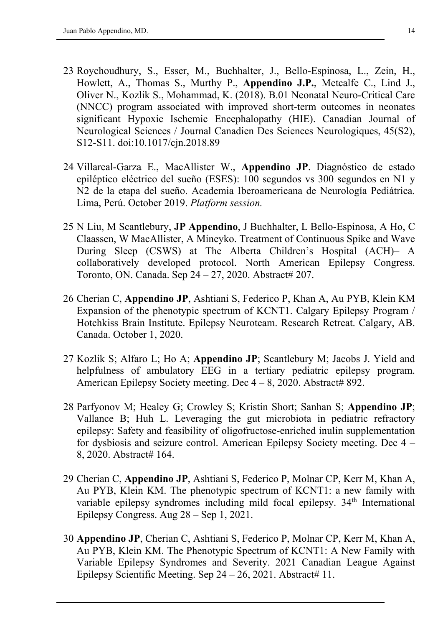- 23 Roychoudhury, S., Esser, M., Buchhalter, J., Bello-Espinosa, L., Zein, H., Howlett, A., Thomas S., Murthy P., **Appendino J.P.**, Metcalfe C., Lind J., Oliver N., Kozlik S., Mohammad, K. (2018). B.01 Neonatal Neuro-Critical Care (NNCC) program associated with improved short-term outcomes in neonates significant Hypoxic Ischemic Encephalopathy (HIE). Canadian Journal of Neurological Sciences / Journal Canadien Des Sciences Neurologiques, 45(S2), S12-S11. doi:10.1017/cjn.2018.89
- 24 Villareal-Garza E., MacAllister W., **Appendino JP**. Diagnóstico de estado epiléptico eléctrico del sueño (ESES): 100 segundos vs 300 segundos en N1 y N2 de la etapa del sueño. Academia Iberoamericana de Neurología Pediátrica. Lima, Perú. October 2019. *Platform session.*
- 25 N Liu, M Scantlebury, **JP Appendino**, J Buchhalter, L Bello-Espinosa, A Ho, C Claassen, W MacAllister, A Mineyko. Treatment of Continuous Spike and Wave During Sleep (CSWS) at The Alberta Children's Hospital (ACH)– A collaboratively developed protocol. North American Epilepsy Congress. Toronto, ON. Canada. Sep 24 – 27, 2020. Abstract# 207.
- 26 Cherian C, **Appendino JP**, Ashtiani S, Federico P, Khan A, Au PYB, Klein KM Expansion of the phenotypic spectrum of KCNT1. Calgary Epilepsy Program / Hotchkiss Brain Institute. Epilepsy Neuroteam. Research Retreat. Calgary, AB. Canada. October 1, 2020.
- 27 Kozlik S; Alfaro L; Ho A; **Appendino JP**; Scantlebury M; Jacobs J. Yield and helpfulness of ambulatory EEG in a tertiary pediatric epilepsy program. American Epilepsy Society meeting. Dec  $4 - 8$ , 2020. Abstract# 892.
- 28 Parfyonov M; Healey G; Crowley S; Kristin Short; Sanhan S; **Appendino JP**; Vallance B; Huh L. Leveraging the gut microbiota in pediatric refractory epilepsy: Safety and feasibility of oligofructose-enriched inulin supplementation for dysbiosis and seizure control. American Epilepsy Society meeting. Dec 4 – 8, 2020. Abstract# 164.
- 29 Cherian C, **Appendino JP**, Ashtiani S, Federico P, Molnar CP, Kerr M, Khan A, Au PYB, Klein KM. The phenotypic spectrum of KCNT1: a new family with variable epilepsy syndromes including mild focal epilepsy.  $34<sup>th</sup>$  International Epilepsy Congress. Aug 28 – Sep 1, 2021.
- 30 **Appendino JP**, Cherian C, Ashtiani S, Federico P, Molnar CP, Kerr M, Khan A, Au PYB, Klein KM. The Phenotypic Spectrum of KCNT1: A New Family with Variable Epilepsy Syndromes and Severity. 2021 Canadian League Against Epilepsy Scientific Meeting. Sep  $24 - 26$ , 2021. Abstract# 11.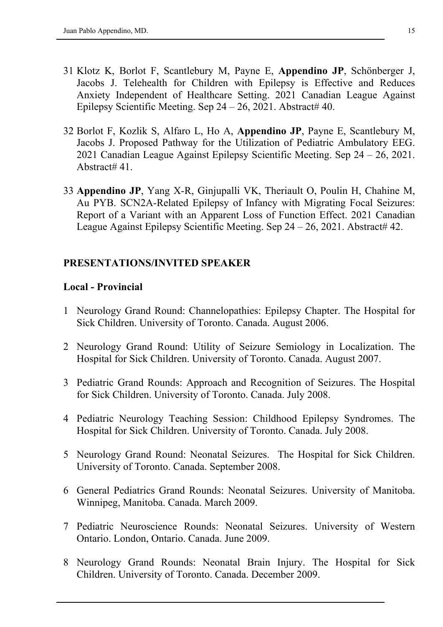- 31 Klotz K, Borlot F, Scantlebury M, Payne E, **Appendino JP**, Schönberger J, Jacobs J. Telehealth for Children with Epilepsy is Effective and Reduces Anxiety Independent of Healthcare Setting. 2021 Canadian League Against Epilepsy Scientific Meeting. Sep  $24 - 26$ , 2021. Abstract# 40.
- 32 Borlot F, Kozlik S, Alfaro L, Ho A, **Appendino JP**, Payne E, Scantlebury M, Jacobs J. Proposed Pathway for the Utilization of Pediatric Ambulatory EEG. 2021 Canadian League Against Epilepsy Scientific Meeting. Sep 24 – 26, 2021. Abstract# 41.
- 33 **Appendino JP**, Yang X-R, Ginjupalli VK, Theriault O, Poulin H, Chahine M, Au PYB. SCN2A-Related Epilepsy of Infancy with Migrating Focal Seizures: Report of a Variant with an Apparent Loss of Function Effect. 2021 Canadian League Against Epilepsy Scientific Meeting. Sep  $24 - 26$ , 2021. Abstract# 42.

### **PRESENTATIONS/INVITED SPEAKER**

#### **Local - Provincial**

- 1 Neurology Grand Round: Channelopathies: Epilepsy Chapter. The Hospital for Sick Children. University of Toronto. Canada. August 2006.
- 2 Neurology Grand Round: Utility of Seizure Semiology in Localization. The Hospital for Sick Children. University of Toronto. Canada. August 2007.
- 3 Pediatric Grand Rounds: Approach and Recognition of Seizures. The Hospital for Sick Children. University of Toronto. Canada. July 2008.
- 4 Pediatric Neurology Teaching Session: Childhood Epilepsy Syndromes. The Hospital for Sick Children. University of Toronto. Canada. July 2008.
- 5 Neurology Grand Round: Neonatal Seizures. The Hospital for Sick Children. University of Toronto. Canada. September 2008.
- 6 General Pediatrics Grand Rounds: Neonatal Seizures. University of Manitoba. Winnipeg, Manitoba. Canada. March 2009.
- 7 Pediatric Neuroscience Rounds: Neonatal Seizures. University of Western Ontario. London, Ontario. Canada. June 2009.
- 8 Neurology Grand Rounds: Neonatal Brain Injury. The Hospital for Sick Children. University of Toronto. Canada. December 2009.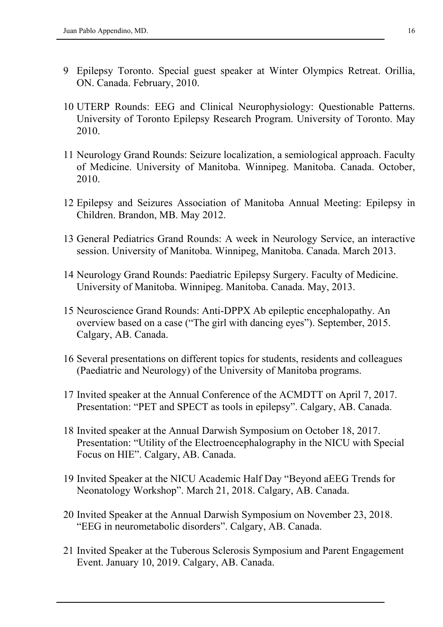- 9 Epilepsy Toronto. Special guest speaker at Winter Olympics Retreat. Orillia, ON. Canada. February, 2010.
- 10 UTERP Rounds: EEG and Clinical Neurophysiology: Questionable Patterns. University of Toronto Epilepsy Research Program. University of Toronto. May 2010.
- 11 Neurology Grand Rounds: Seizure localization, a semiological approach. Faculty of Medicine. University of Manitoba. Winnipeg. Manitoba. Canada. October, 2010.
- 12 Epilepsy and Seizures Association of Manitoba Annual Meeting: Epilepsy in Children. Brandon, MB. May 2012.
- 13 General Pediatrics Grand Rounds: A week in Neurology Service, an interactive session. University of Manitoba. Winnipeg, Manitoba. Canada. March 2013.
- 14 Neurology Grand Rounds: Paediatric Epilepsy Surgery. Faculty of Medicine. University of Manitoba. Winnipeg. Manitoba. Canada. May, 2013.
- 15 Neuroscience Grand Rounds: Anti-DPPX Ab epileptic encephalopathy. An overview based on a case ("The girl with dancing eyes"). September, 2015. Calgary, AB. Canada.
- 16 Several presentations on different topics for students, residents and colleagues (Paediatric and Neurology) of the University of Manitoba programs.
- 17 Invited speaker at the Annual Conference of the ACMDTT on April 7, 2017. Presentation: "PET and SPECT as tools in epilepsy". Calgary, AB. Canada.
- 18 Invited speaker at the Annual Darwish Symposium on October 18, 2017. Presentation: "Utility of the Electroencephalography in the NICU with Special Focus on HIE". Calgary, AB. Canada.
- 19 Invited Speaker at the NICU Academic Half Day "Beyond aEEG Trends for Neonatology Workshop". March 21, 2018. Calgary, AB. Canada.
- 20 Invited Speaker at the Annual Darwish Symposium on November 23, 2018. "EEG in neurometabolic disorders". Calgary, AB. Canada.
- 21 Invited Speaker at the Tuberous Sclerosis Symposium and Parent Engagement Event. January 10, 2019. Calgary, AB. Canada.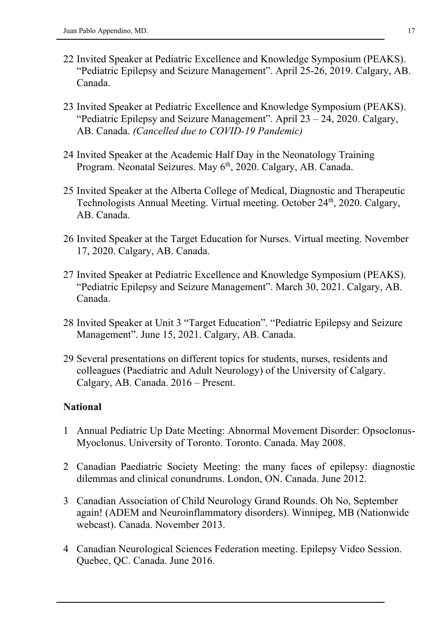- 22 Invited Speaker at Pediatric Excellence and Knowledge Symposium (PEAKS). "Pediatric Epilepsy and Seizure Management". April 25-26, 2019. Calgary, AB. Canada.
- 23 Invited Speaker at Pediatric Excellence and Knowledge Symposium (PEAKS). "Pediatric Epilepsy and Seizure Management". April 23 – 24, 2020. Calgary, AB. Canada. *(Cancelled due to COVID-19 Pandemic)*
- 24 Invited Speaker at the Academic Half Day in the Neonatology Training Program. Neonatal Seizures. May 6<sup>th</sup>, 2020. Calgary, AB. Canada.
- 25 Invited Speaker at the Alberta College of Medical, Diagnostic and Therapeutic Technologists Annual Meeting. Virtual meeting. October 24th, 2020. Calgary, AB. Canada.
- 26 Invited Speaker at the Target Education for Nurses. Virtual meeting. November 17, 2020. Calgary, AB. Canada.
- 27 Invited Speaker at Pediatric Excellence and Knowledge Symposium (PEAKS). "Pediatric Epilepsy and Seizure Management". March 30, 2021. Calgary, AB. Canada.
- 28 Invited Speaker at Unit 3 "Target Education". "Pediatric Epilepsy and Seizure Management". June 15, 2021. Calgary, AB. Canada.
- 29 Several presentations on different topics for students, nurses, residents and colleagues (Paediatric and Adult Neurology) of the University of Calgary. Calgary, AB. Canada. 2016 – Present.

#### **National**

- 1 Annual Pediatric Up Date Meeting: Abnormal Movement Disorder: Opsoclonus-Myoclonus. University of Toronto. Toronto. Canada. May 2008.
- 2 Canadian Paediatric Society Meeting: the many faces of epilepsy: diagnostic dilemmas and clinical conundrums. London, ON. Canada. June 2012.
- 3 Canadian Association of Child Neurology Grand Rounds. Oh No, September again! (ADEM and Neuroinflammatory disorders). Winnipeg, MB (Nationwide webcast). Canada. November 2013.
- 4 Canadian Neurological Sciences Federation meeting. Epilepsy Video Session. Quebec, QC. Canada. June 2016.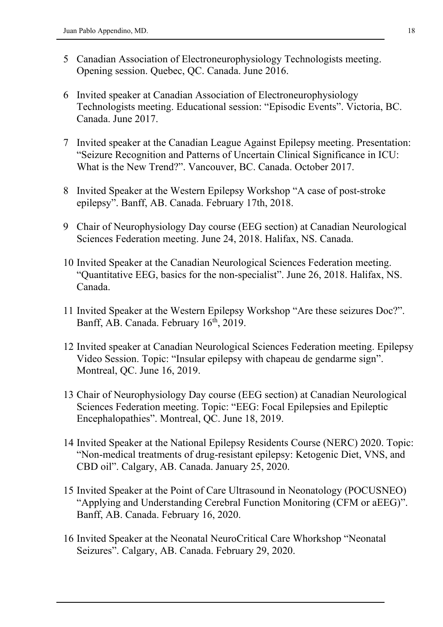- 5 Canadian Association of Electroneurophysiology Technologists meeting. Opening session. Quebec, QC. Canada. June 2016.
- 6 Invited speaker at Canadian Association of Electroneurophysiology Technologists meeting. Educational session: "Episodic Events". Victoria, BC. Canada. June 2017.
- 7 Invited speaker at the Canadian League Against Epilepsy meeting. Presentation: "Seizure Recognition and Patterns of Uncertain Clinical Significance in ICU: What is the New Trend?". Vancouver, BC. Canada. October 2017.
- 8 Invited Speaker at the Western Epilepsy Workshop "A case of post-stroke epilepsy". Banff, AB. Canada. February 17th, 2018.
- 9 Chair of Neurophysiology Day course (EEG section) at Canadian Neurological Sciences Federation meeting. June 24, 2018. Halifax, NS. Canada.
- 10 Invited Speaker at the Canadian Neurological Sciences Federation meeting. "Quantitative EEG, basics for the non-specialist". June 26, 2018. Halifax, NS. Canada.
- 11 Invited Speaker at the Western Epilepsy Workshop "Are these seizures Doc?". Banff, AB. Canada. February 16<sup>th</sup>, 2019.
- 12 Invited speaker at Canadian Neurological Sciences Federation meeting. Epilepsy Video Session. Topic: "Insular epilepsy with chapeau de gendarme sign". Montreal, QC. June 16, 2019.
- 13 Chair of Neurophysiology Day course (EEG section) at Canadian Neurological Sciences Federation meeting. Topic: "EEG: Focal Epilepsies and Epileptic Encephalopathies". Montreal, QC. June 18, 2019.
- 14 Invited Speaker at the National Epilepsy Residents Course (NERC) 2020. Topic: "Non-medical treatments of drug-resistant epilepsy: Ketogenic Diet, VNS, and CBD oil". Calgary, AB. Canada. January 25, 2020.
- 15 Invited Speaker at the Point of Care Ultrasound in Neonatology (POCUSNEO) "Applying and Understanding Cerebral Function Monitoring (CFM or aEEG)". Banff, AB. Canada. February 16, 2020.
- 16 Invited Speaker at the Neonatal NeuroCritical Care Whorkshop "Neonatal Seizures". Calgary, AB. Canada. February 29, 2020.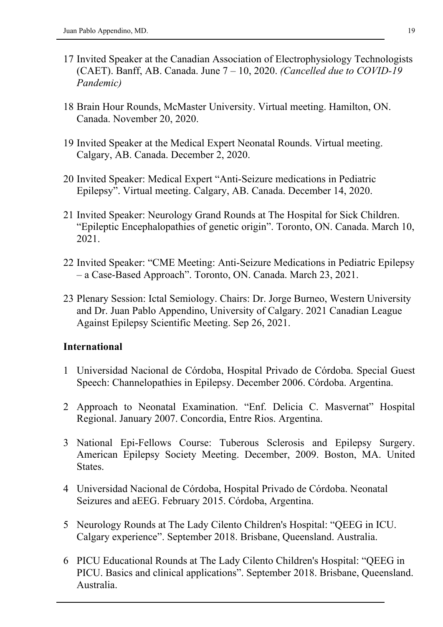- 17 Invited Speaker at the Canadian Association of Electrophysiology Technologists (CAET). Banff, AB. Canada. June 7 – 10, 2020. *(Cancelled due to COVID-19 Pandemic)*
- 18 Brain Hour Rounds, McMaster University. Virtual meeting. Hamilton, ON. Canada. November 20, 2020.
- 19 Invited Speaker at the Medical Expert Neonatal Rounds. Virtual meeting. Calgary, AB. Canada. December 2, 2020.
- 20 Invited Speaker: Medical Expert "Anti-Seizure medications in Pediatric Epilepsy". Virtual meeting. Calgary, AB. Canada. December 14, 2020.
- 21 Invited Speaker: Neurology Grand Rounds at The Hospital for Sick Children. "Epileptic Encephalopathies of genetic origin". Toronto, ON. Canada. March 10, 2021.
- 22 Invited Speaker: "CME Meeting: Anti-Seizure Medications in Pediatric Epilepsy – a Case-Based Approach". Toronto, ON. Canada. March 23, 2021.
- 23 Plenary Session: Ictal Semiology. Chairs: Dr. Jorge Burneo, Western University and Dr. Juan Pablo Appendino, University of Calgary. 2021 Canadian League Against Epilepsy Scientific Meeting. Sep 26, 2021.

#### **International**

- 1 Universidad Nacional de Córdoba, Hospital Privado de Córdoba. Special Guest Speech: Channelopathies in Epilepsy. December 2006. Córdoba. Argentina.
- 2 Approach to Neonatal Examination. "Enf. Delicia C. Masvernat" Hospital Regional. January 2007. Concordia, Entre Rios. Argentina.
- 3 National Epi-Fellows Course: Tuberous Sclerosis and Epilepsy Surgery. American Epilepsy Society Meeting. December, 2009. Boston, MA. United States.
- 4 Universidad Nacional de Córdoba, Hospital Privado de Córdoba. Neonatal Seizures and aEEG. February 2015. Córdoba, Argentina.
- 5 Neurology Rounds at The Lady Cilento Children's Hospital: "QEEG in ICU. Calgary experience". September 2018. Brisbane, Queensland. Australia.
- 6 PICU Educational Rounds at The Lady Cilento Children's Hospital: "QEEG in PICU. Basics and clinical applications". September 2018. Brisbane, Queensland. Australia.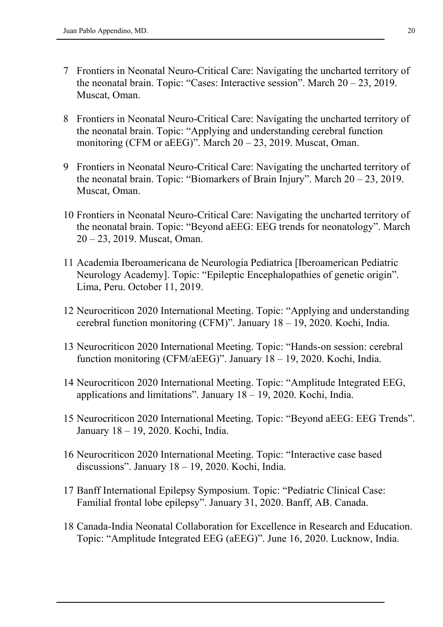- 7 Frontiers in Neonatal Neuro-Critical Care: Navigating the uncharted territory of the neonatal brain. Topic: "Cases: Interactive session". March 20 – 23, 2019. Muscat, Oman.
- 8 Frontiers in Neonatal Neuro-Critical Care: Navigating the uncharted territory of the neonatal brain. Topic: "Applying and understanding cerebral function monitoring (CFM or aEEG)". March  $20 - 23$ , 2019. Muscat, Oman.
- 9 Frontiers in Neonatal Neuro-Critical Care: Navigating the uncharted territory of the neonatal brain. Topic: "Biomarkers of Brain Injury". March  $20 - 23$ , 2019. Muscat, Oman.
- 10 Frontiers in Neonatal Neuro-Critical Care: Navigating the uncharted territory of the neonatal brain. Topic: "Beyond aEEG: EEG trends for neonatology". March 20 – 23, 2019. Muscat, Oman.
- 11 Academia Iberoamericana de Neurologia Pediatrica [Iberoamerican Pediatric Neurology Academy]. Topic: "Epileptic Encephalopathies of genetic origin". Lima, Peru. October 11, 2019.
- 12 Neurocriticon 2020 International Meeting. Topic: "Applying and understanding cerebral function monitoring (CFM)". January 18 – 19, 2020. Kochi, India.
- 13 Neurocriticon 2020 International Meeting. Topic: "Hands-on session: cerebral function monitoring (CFM/aEEG)". January 18 – 19, 2020. Kochi, India.
- 14 Neurocriticon 2020 International Meeting. Topic: "Amplitude Integrated EEG, applications and limitations". January 18 – 19, 2020. Kochi, India.
- 15 Neurocriticon 2020 International Meeting. Topic: "Beyond aEEG: EEG Trends". January 18 – 19, 2020. Kochi, India.
- 16 Neurocriticon 2020 International Meeting. Topic: "Interactive case based discussions". January 18 – 19, 2020. Kochi, India.
- 17 Banff International Epilepsy Symposium. Topic: "Pediatric Clinical Case: Familial frontal lobe epilepsy". January 31, 2020. Banff, AB. Canada.
- 18 Canada-India Neonatal Collaboration for Excellence in Research and Education. Topic: "Amplitude Integrated EEG (aEEG)". June 16, 2020. Lucknow, India.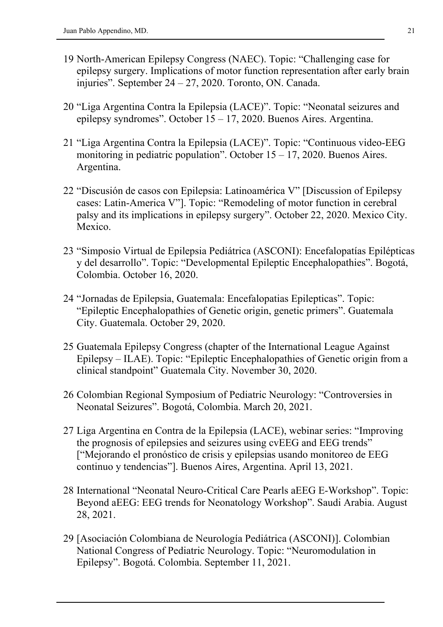- 19 North-American Epilepsy Congress (NAEC). Topic: "Challenging case for epilepsy surgery. Implications of motor function representation after early brain injuries". September 24 – 27, 2020. Toronto, ON. Canada.
- 20 "Liga Argentina Contra la Epilepsia (LACE)". Topic: "Neonatal seizures and epilepsy syndromes". October 15 – 17, 2020. Buenos Aires. Argentina.
- 21 "Liga Argentina Contra la Epilepsia (LACE)". Topic: "Continuous video-EEG monitoring in pediatric population". October  $15 - 17$ , 2020. Buenos Aires. Argentina.
- 22 "Discusión de casos con Epilepsia: Latinoamérica V" [Discussion of Epilepsy cases: Latin-America V"]. Topic: "Remodeling of motor function in cerebral palsy and its implications in epilepsy surgery". October 22, 2020. Mexico City. Mexico.
- 23 "Simposio Virtual de Epilepsia Pediátrica (ASCONI): Encefalopatías Epilépticas y del desarrollo". Topic: "Developmental Epileptic Encephalopathies". Bogotá, Colombia. October 16, 2020.
- 24 "Jornadas de Epilepsia, Guatemala: Encefalopatias Epilepticas". Topic: "Epileptic Encephalopathies of Genetic origin, genetic primers". Guatemala City. Guatemala. October 29, 2020.
- 25 Guatemala Epilepsy Congress (chapter of the International League Against Epilepsy – ILAE). Topic: "Epileptic Encephalopathies of Genetic origin from a clinical standpoint" Guatemala City. November 30, 2020.
- 26 Colombian Regional Symposium of Pediatric Neurology: "Controversies in Neonatal Seizures". Bogotá, Colombia. March 20, 2021.
- 27 Liga Argentina en Contra de la Epilepsia (LACE), webinar series: "Improving the prognosis of epilepsies and seizures using cvEEG and EEG trends" ["Mejorando el pronóstico de crisis y epilepsias usando monitoreo de EEG continuo y tendencias"]. Buenos Aires, Argentina. April 13, 2021.
- 28 International "Neonatal Neuro-Critical Care Pearls aEEG E-Workshop". Topic: Beyond aEEG: EEG trends for Neonatology Workshop". Saudi Arabia. August 28, 2021.
- 29 [Asociación Colombiana de Neurología Pediátrica (ASCONI)]. Colombian National Congress of Pediatric Neurology. Topic: "Neuromodulation in Epilepsy". Bogotá. Colombia. September 11, 2021.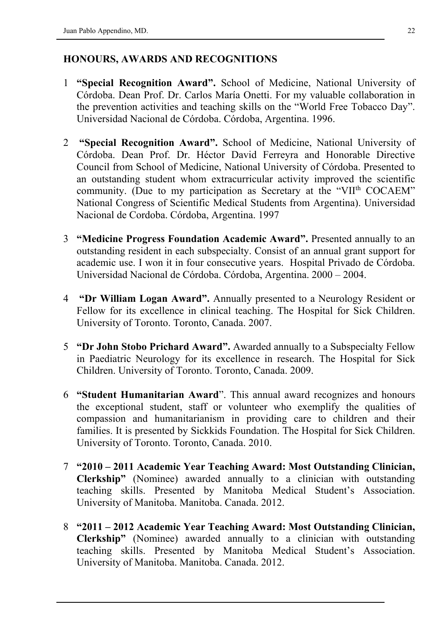## **HONOURS, AWARDS AND RECOGNITIONS**

- 1 **"Special Recognition Award".** School of Medicine, National University of Córdoba. Dean Prof. Dr. Carlos María Onetti. For my valuable collaboration in the prevention activities and teaching skills on the "World Free Tobacco Day". Universidad Nacional de Córdoba. Córdoba, Argentina. 1996.
- 2 **"Special Recognition Award".** School of Medicine, National University of Córdoba. Dean Prof. Dr. Héctor David Ferreyra and Honorable Directive Council from School of Medicine, National University of Córdoba. Presented to an outstanding student whom extracurricular activity improved the scientific community. (Due to my participation as Secretary at the "VII<sup>th</sup> COCAEM" National Congress of Scientific Medical Students from Argentina). Universidad Nacional de Cordoba. Córdoba, Argentina. 1997
- 3 **"Medicine Progress Foundation Academic Award".** Presented annually to an outstanding resident in each subspecialty. Consist of an annual grant support for academic use. I won it in four consecutive years. Hospital Privado de Córdoba. Universidad Nacional de Córdoba. Córdoba, Argentina. 2000 – 2004.
- 4 **"Dr William Logan Award".** Annually presented to a Neurology Resident or Fellow for its excellence in clinical teaching. The Hospital for Sick Children. University of Toronto. Toronto, Canada. 2007.
- 5 **"Dr John Stobo Prichard Award".** Awarded annually to a Subspecialty Fellow in Paediatric Neurology for its excellence in research. The Hospital for Sick Children. University of Toronto. Toronto, Canada. 2009.
- 6 **"Student Humanitarian Award**". This annual award recognizes and honours the exceptional student, staff or volunteer who exemplify the qualities of compassion and humanitarianism in providing care to children and their families. It is presented by Sickkids Foundation. The Hospital for Sick Children. University of Toronto. Toronto, Canada. 2010.
- 7 **"2010 – 2011 Academic Year Teaching Award: Most Outstanding Clinician, Clerkship"** (Nominee) awarded annually to a clinician with outstanding teaching skills. Presented by Manitoba Medical Student's Association. University of Manitoba. Manitoba. Canada. 2012.
- 8 **"2011 – 2012 Academic Year Teaching Award: Most Outstanding Clinician, Clerkship"** (Nominee) awarded annually to a clinician with outstanding teaching skills. Presented by Manitoba Medical Student's Association. University of Manitoba. Manitoba. Canada. 2012.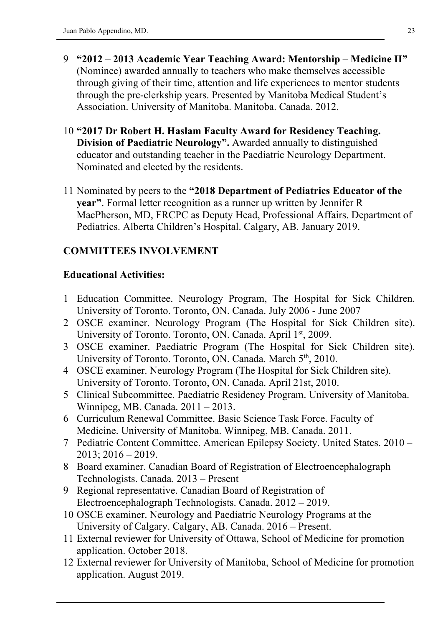- 9 **"2012 – 2013 Academic Year Teaching Award: Mentorship – Medicine II"** (Nominee) awarded annually to teachers who make themselves accessible through giving of their time, attention and life experiences to mentor students through the pre-clerkship years. Presented by Manitoba Medical Student's Association. University of Manitoba. Manitoba. Canada. 2012.
- 10 **"2017 Dr Robert H. Haslam Faculty Award for Residency Teaching. Division of Paediatric Neurology".** Awarded annually to distinguished educator and outstanding teacher in the Paediatric Neurology Department. Nominated and elected by the residents.
- 11 Nominated by peers to the **"2018 Department of Pediatrics Educator of the year"**. Formal letter recognition as a runner up written by Jennifer R MacPherson, MD, FRCPC as Deputy Head, Professional Affairs. Department of Pediatrics. Alberta Children's Hospital. Calgary, AB. January 2019.

## **COMMITTEES INVOLVEMENT**

### **Educational Activities:**

- 1 Education Committee. Neurology Program, The Hospital for Sick Children. University of Toronto. Toronto, ON. Canada. July 2006 - June 2007
- 2 OSCE examiner. Neurology Program (The Hospital for Sick Children site). University of Toronto. Toronto, ON. Canada. April 1<sup>st</sup>, 2009.
- 3 OSCE examiner. Paediatric Program (The Hospital for Sick Children site). University of Toronto. Toronto, ON. Canada. March 5<sup>th</sup>, 2010.
- 4 OSCE examiner. Neurology Program (The Hospital for Sick Children site). University of Toronto. Toronto, ON. Canada. April 21st, 2010.
- 5 Clinical Subcommittee. Paediatric Residency Program. University of Manitoba. Winnipeg, MB. Canada. 2011 – 2013.
- 6 Curriculum Renewal Committee. Basic Science Task Force. Faculty of Medicine. University of Manitoba. Winnipeg, MB. Canada. 2011.
- 7 Pediatric Content Committee. American Epilepsy Society. United States. 2010 2013; 2016 – 2019.
- 8 Board examiner. Canadian Board of Registration of Electroencephalograph Technologists. Canada. 2013 – Present
- 9 Regional representative. Canadian Board of Registration of Electroencephalograph Technologists. Canada. 2012 – 2019.
- 10 OSCE examiner. Neurology and Paediatric Neurology Programs at the University of Calgary. Calgary, AB. Canada. 2016 – Present.
- 11 External reviewer for University of Ottawa, School of Medicine for promotion application. October 2018.
- 12 External reviewer for University of Manitoba, School of Medicine for promotion application. August 2019.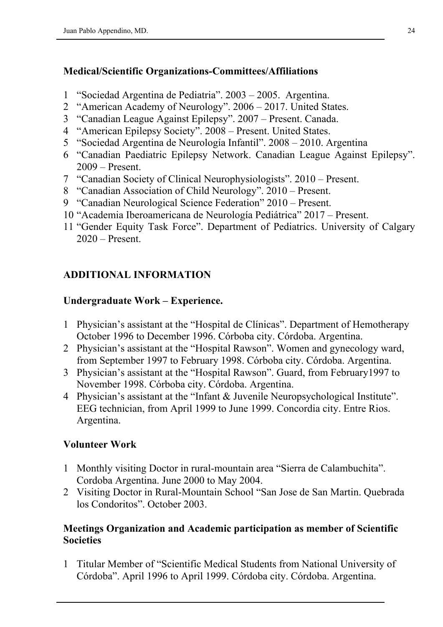### **Medical/Scientific Organizations-Committees/Affiliations**

- 1 "Sociedad Argentina de Pediatria". 2003 2005. Argentina.
- 2 "American Academy of Neurology". 2006 2017. United States.
- 3 "Canadian League Against Epilepsy". 2007 Present. Canada.
- 4 "American Epilepsy Society". 2008 Present. United States.
- 5 "Sociedad Argentina de Neurología Infantil". 2008 2010. Argentina
- 6 "Canadian Paediatric Epilepsy Network. Canadian League Against Epilepsy". 2009 – Present.
- 7 "Canadian Society of Clinical Neurophysiologists". 2010 Present.
- 8 "Canadian Association of Child Neurology". 2010 Present.
- 9 "Canadian Neurological Science Federation" 2010 Present.
- 10 "Academia Iberoamericana de Neurología Pediátrica" 2017 Present.
- 11 "Gender Equity Task Force". Department of Pediatrics. University of Calgary 2020 – Present.

## **ADDITIONAL INFORMATION**

### **Undergraduate Work – Experience.**

- 1 Physician's assistant at the "Hospital de Clínicas". Department of Hemotherapy October 1996 to December 1996. Córboba city. Córdoba. Argentina.
- 2 Physician's assistant at the "Hospital Rawson". Women and gynecology ward, from September 1997 to February 1998. Córboba city. Córdoba. Argentina.
- 3 Physician's assistant at the "Hospital Rawson". Guard, from February1997 to November 1998. Córboba city. Córdoba. Argentina.
- 4 Physician's assistant at the "Infant & Juvenile Neuropsychological Institute". EEG technician, from April 1999 to June 1999. Concordia city. Entre Rios. Argentina.

### **Volunteer Work**

- 1 Monthly visiting Doctor in rural-mountain area "Sierra de Calambuchita". Cordoba Argentina. June 2000 to May 2004.
- 2 Visiting Doctor in Rural-Mountain School "San Jose de San Martin. Quebrada los Condoritos". October 2003.

### **Meetings Organization and Academic participation as member of Scientific Societies**

1 Titular Member of "Scientific Medical Students from National University of Córdoba". April 1996 to April 1999. Córdoba city. Córdoba. Argentina.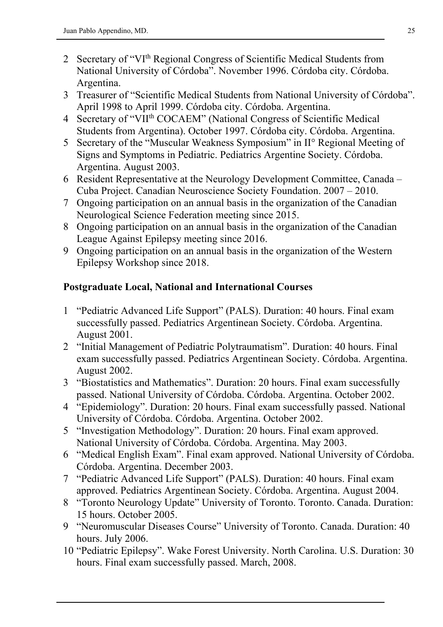- 2 Secretary of "VI<sup>th</sup> Regional Congress of Scientific Medical Students from National University of Córdoba". November 1996. Córdoba city. Córdoba. Argentina.
- 3 Treasurer of "Scientific Medical Students from National University of Córdoba". April 1998 to April 1999. Córdoba city. Córdoba. Argentina.
- 4 Secretary of "VII<sup>th</sup> COCAEM" (National Congress of Scientific Medical Students from Argentina). October 1997. Córdoba city. Córdoba. Argentina.
- 5 Secretary of the "Muscular Weakness Symposium" in II° Regional Meeting of Signs and Symptoms in Pediatric. Pediatrics Argentine Society. Córdoba. Argentina. August 2003.
- 6 Resident Representative at the Neurology Development Committee, Canada Cuba Project. Canadian Neuroscience Society Foundation. 2007 – 2010.
- 7 Ongoing participation on an annual basis in the organization of the Canadian Neurological Science Federation meeting since 2015.
- 8 Ongoing participation on an annual basis in the organization of the Canadian League Against Epilepsy meeting since 2016.
- 9 Ongoing participation on an annual basis in the organization of the Western Epilepsy Workshop since 2018.

## **Postgraduate Local, National and International Courses**

- 1 "Pediatric Advanced Life Support" (PALS). Duration: 40 hours. Final exam successfully passed. Pediatrics Argentinean Society. Córdoba. Argentina. August 2001.
- 2 "Initial Management of Pediatric Polytraumatism". Duration: 40 hours. Final exam successfully passed. Pediatrics Argentinean Society. Córdoba. Argentina. August 2002.
- 3 "Biostatistics and Mathematics". Duration: 20 hours. Final exam successfully passed. National University of Córdoba. Córdoba. Argentina. October 2002.
- 4 "Epidemiology". Duration: 20 hours. Final exam successfully passed. National University of Córdoba. Córdoba. Argentina. October 2002.
- 5 "Investigation Methodology". Duration: 20 hours. Final exam approved. National University of Córdoba. Córdoba. Argentina. May 2003.
- 6 "Medical English Exam". Final exam approved. National University of Córdoba. Córdoba. Argentina. December 2003.
- 7 "Pediatric Advanced Life Support" (PALS). Duration: 40 hours. Final exam approved. Pediatrics Argentinean Society. Córdoba. Argentina. August 2004.
- 8 "Toronto Neurology Update" University of Toronto. Toronto. Canada. Duration: 15 hours. October 2005.
- 9 "Neuromuscular Diseases Course" University of Toronto. Canada. Duration: 40 hours. July 2006.
- 10 "Pediatric Epilepsy". Wake Forest University. North Carolina. U.S. Duration: 30 hours. Final exam successfully passed. March, 2008.